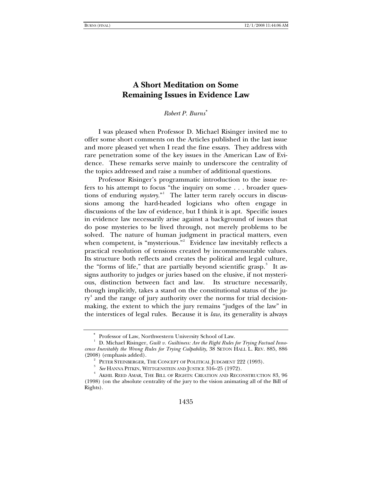# **A Short Meditation on Some Remaining Issues in Evidence Law**

*Robert P. Burns*[∗](#page-0-0)

I was pleased when Professor D. Michael Risinger invited me to offer some short comments on the Articles published in the last issue and more pleased yet when I read the fine essays. They address with rare penetration some of the key issues in the American Law of Evidence. These remarks serve mainly to underscore the centrality of the topics addressed and raise a number of additional questions.

Professor Risinger's programmatic introduction to the issue refers to his attempt to focus "the inquiry on some . . . broader questions of enduring *mystery*." The latter term rarely occurs in discussions among the hard-headed logicians who often engage in discussions of the law of evidence, but I think it is apt. Specific issues in evidence law necessarily arise against a background of issues that do pose mysteries to be lived through, not merely problems to be solved. The nature of human judgment in practical matters, even when competent, is "mysterious."<sup>[2](#page-0-2)</sup> Evidence law inevitably reflects a practical resolution of tensions created by incommensurable values. Its structure both reflects and creates the political and legal culture, the "forms of life," that are partially beyond scientific grasp.<sup>[3](#page-0-3)</sup> It assigns authority to judges or juries based on the elusive, if not mysterious, distinction between fact and law. Its structure necessarily, though implicitly, takes a stand on the constitutional status of the ju-ry<sup>[4](#page-0-4)</sup> and the range of jury authority over the norms for trial decisionmaking, the extent to which the jury remains "judges of the law" in the interstices of legal rules. Because it is *law*, its generality is always

<sup>∗</sup> Professor of Law, Northwestern University School of Law.

<span id="page-0-1"></span><span id="page-0-0"></span><sup>&</sup>lt;sup>1</sup> D. Michael Risinger, *Guilt v. Guiltiness: Are the Right Rules for Trying Factual Innocence Inevitably the Wrong Rules for Trying Culpability*, 38 SETON HALL L. REV. 885, 886  $(2008)$  (emphasis added).

 $P$ ETER STEINBERGER, THE CONCEPT OF POLITICAL JUDGMENT 222 (1993).

 $^{\rm 3}$   $\,$  *See* HANNA PITKIN, WITTGENSTEIN AND JUSTICE 316–25 (1972).

<span id="page-0-4"></span><span id="page-0-3"></span><span id="page-0-2"></span>AKHIL REED AMAR, THE BILL OF RIGHTS: CREATION AND RECONSTRUCTION 83, 96 (1998) (on the absolute centrality of the jury to the vision animating all of the Bill of Rights).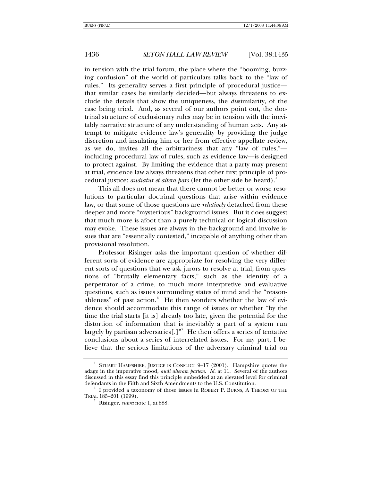## 1436 *SETON HALL LAW REVIEW* [Vol. 38:1435

in tension with the trial forum, the place where the "booming, buzzing confusion" of the world of particulars talks back to the "law of rules." Its generality serves a first principle of procedural justice that similar cases be similarly decided—but always threatens to exclude the details that show the uniqueness, the *dis*similarity, of the case being tried. And, as several of our authors point out, the doctrinal structure of exclusionary rules may be in tension with the inevitably narrative structure of any understanding of human acts. Any attempt to mitigate evidence law's generality by providing the judge discretion and insulating him or her from effective appellate review, as we do, invites all the arbitrariness that any "law of rules," including procedural law of rules, such as evidence law—is designed to protect against. By limiting the evidence that a party may present at trial, evidence law always threatens that other first principle of procedural justice: *audiatur et altera pars* (let the other side be heard).[5](#page-1-0)

This all does not mean that there cannot be better or worse resolutions to particular doctrinal questions that arise within evidence law, or that some of those questions are *relatively* detached from these deeper and more "mysterious" background issues. But it does suggest that much more is afoot than a purely technical or logical discussion may evoke. These issues are always in the background and involve issues that are "essentially contested," incapable of anything other than provisional resolution.

Professor Risinger asks the important question of whether different sorts of evidence are appropriate for resolving the very different sorts of questions that we ask jurors to resolve at trial, from questions of "brutally elementary facts," such as the identity of a perpetrator of a crime, to much more interpretive and evaluative questions, such as issues surrounding states of mind and the "reason-ableness" of past action.<sup>[6](#page-1-1)</sup> He then wonders whether the law of evidence should accommodate this range of issues or whether "by the time the trial starts [it is] already too late, given the potential for the distortion of information that is inevitably a part of a system run largely by partisan adversaries $[.]^{n^7}$  $[.]^{n^7}$  $[.]^{n^7}$  He then offers a series of tentative conclusions about a series of interrelated issues. For my part, I believe that the serious limitations of the adversary criminal trial on

<span id="page-1-0"></span><sup>5</sup> STUART HAMPSHIRE, JUSTICE IS CONFLICT 9–17 (2001). Hampshire quotes the adage in the imperative mood, *audi alteram partem. Id.* at 11. Several of the authors discussed in this essay find this principle embedded at an elevated level for criminal defendants in the Fifth and Sixth Amendments to the U.S. Constitution. 6

<span id="page-1-2"></span><span id="page-1-1"></span>I provided a taxonomy of those issues in ROBERT P. BURNS, A THEORY OF THE TRIAL 185–201 (1999). 7

Risinger, *supra* note 1, at 888.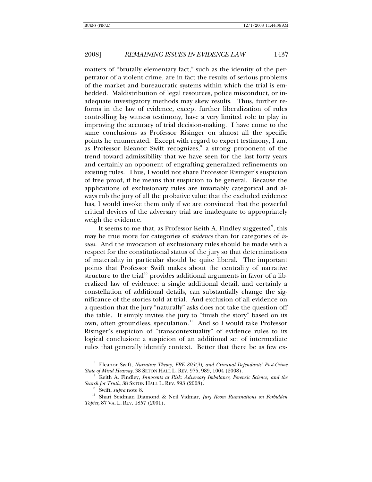# 2008] *REMAINING ISSUES IN EVIDENCE LAW* 1437

matters of "brutally elementary fact," such as the identity of the perpetrator of a violent crime, are in fact the results of serious problems of the market and bureaucratic systems within which the trial is embedded. Maldistribution of legal resources, police misconduct, or inadequate investigatory methods may skew results. Thus, further reforms in the law of evidence, except further liberalization of rules controlling lay witness testimony, have a very limited role to play in improving the accuracy of trial decision-making. I have come to the same conclusions as Professor Risinger on almost all the specific points he enumerated. Except with regard to expert testimony, I am, as Professor Eleanor Swift recognizes,<sup>[8](#page-2-0)</sup> a strong proponent of the trend toward admissibility that we have seen for the last forty years and certainly an opponent of engrafting generalized refinements on existing rules. Thus, I would not share Professor Risinger's suspicion of free proof, if he means that suspicion to be general. Because the applications of exclusionary rules are invariably categorical and always rob the jury of all the probative value that the excluded evidence has, I would invoke them only if we are convinced that the powerful critical devices of the adversary trial are inadequate to appropriately weigh the evidence.

It seems to me that, as Professor Keith A. Findley suggested $^{\circ}$ , this may be true more for categories of *evidence* than for categories of *issues.* And the invocation of exclusionary rules should be made with a respect for the constitutional status of the jury so that determinations of materiality in particular should be quite liberal. The important points that Professor Swift makes about the centrality of narrative structure to the trial<sup>[10](#page-2-2)</sup> provides additional arguments in favor of a liberalized law of evidence: a single additional detail, and certainly a constellation of additional details, can substantially change the significance of the stories told at trial. And exclusion of all evidence on a question that the jury "naturally" asks does not take the question off the table. It simply invites the jury to "finish the story" based on its own, often groundless, speculation.<sup>[11](#page-2-3)</sup> And so I would take Professor Risinger's suspicion of "transcontextuality" of evidence rules to its logical conclusion: a suspicion of an additional set of intermediate rules that generally identify context. Better that there be as few ex-

<span id="page-2-0"></span><sup>8</sup> Eleanor Swift, *Narrative Theory, FRE 803(3), and Criminal Defendants' Post-Crime State of Mind Hearsay*, 38 SETON HALL L. REV. 975, 989, 1004 (2008).

<span id="page-2-1"></span>Keith A. Findley, *Innocents at Risk: Adversary Imbalance, Forensic Science, and the Search for Truth*, 38 SETON HALL L. REV. 893 (2008). 10 Swift, *supra* note 8. 11 Shari Seidman Diamond & Neil Vidmar, *Jury Room Ruminations on Forbidden* 

<span id="page-2-3"></span><span id="page-2-2"></span>*Topics*, 87 VA. L. REV. 1857 (2001).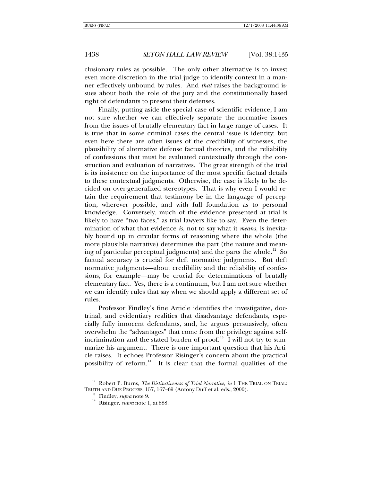1438 *SETON HALL LAW REVIEW* [Vol. 38:1435

clusionary rules as possible. The only other alternative is to invest even more discretion in the trial judge to identify context in a manner effectively unbound by rules. And *that* raises the background issues about both the role of the jury and the constitutionally based right of defendants to present their defenses.

Finally, putting aside the special case of scientific evidence, I am not sure whether we can effectively separate the normative issues from the issues of brutally elementary fact in large range of cases. It is true that in some criminal cases the central issue is identity; but even here there are often issues of the credibility of witnesses, the plausibility of alternative defense factual theories, and the reliability of confessions that must be evaluated contextually through the construction and evaluation of narratives. The great strength of the trial is its insistence on the importance of the most specific factual details to these contextual judgments. Otherwise, the case is likely to be decided on over-generalized stereotypes. That is why even I would retain the requirement that testimony be in the language of perception, wherever possible, and with full foundation as to personal knowledge. Conversely, much of the evidence presented at trial is likely to have "two faces," as trial lawyers like to say. Even the determination of what that evidence *is*, not to say what it *means*, is inevitably bound up in circular forms of reasoning where the whole (the more plausible narrative) determines the part (the nature and mean-ing of particular perceptual judgments) and the parts the whole.<sup>[12](#page-3-0)</sup> So factual accuracy is crucial for deft normative judgments. But deft normative judgments—about credibility and the reliability of confessions, for example—may be crucial for determinations of brutally elementary fact. Yes, there is a continuum, but I am not sure whether we can identify rules that say when we should apply a different set of rules.

Professor Findley's fine Article identifies the investigative, doctrinal, and evidentiary realities that disadvantage defendants, especially fully innocent defendants, and, he argues persuasively, often overwhelm the "advantages" that come from the privilege against self-incrimination and the stated burden of proof.<sup>[13](#page-3-1)</sup> I will not try to summarize his argument. There is one important question that his Article raises. It echoes Professor Risinger's concern about the practical possibility of reform. $14$  It is clear that the formal qualities of the

<span id="page-3-2"></span><span id="page-3-1"></span><span id="page-3-0"></span><sup>12</sup> Robert P. Burns, *The Distinctiveness of Trial Narrative*, *in* 1 THE TRIAL ON TRIAL: TRUTH AND DUE PROCESS, 157, 167–69 (Antony Duff et al. eds., 2000). 13 Findley, *supra* note 9. 14 Risinger, *supra* note 1, at 888.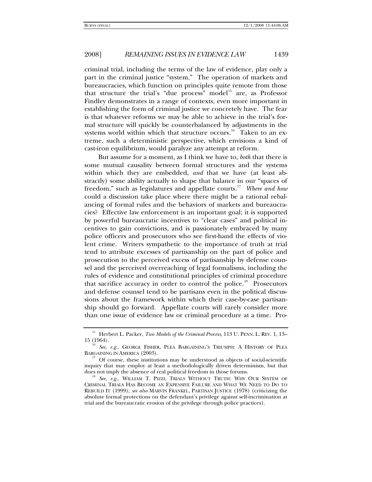# 2008] *REMAINING ISSUES IN EVIDENCE LAW* 1439

criminal trial, including the terms of the law of evidence, play only a part in the criminal justice "system." The operation of markets and bureaucracies, which function on principles quite remote from those that structure the trial's "due process" model<sup>[15](#page-4-0)</sup> are, as Professor Findley demonstrates in a range of contexts, even more important in establishing the form of criminal justice we concretely have. The fear is that whatever reforms we may be able to achieve in the trial's formal structure will quickly be counterbalanced by adjustments in the systems world within which that structure occurs.<sup>[16](#page-4-1)</sup> Taken to an extreme, such a deterministic perspective, which envisions a kind of cast-iron equilibrium, would paralyze any attempt at reform.

But assume for a moment, as I think we have to, *both* that there is some mutual causality between formal structures and the systems within which they are embedded, *and* that we have (at least abstractly) some ability actually to shape that balance in our "spaces of freedom," such as legislatures and appellate courts.[17](#page-4-2) *Where and how* could a discussion take place where there might be a rational rebalancing of formal rules and the behaviors of markets and bureaucracies? Effective law enforcement is an important goal; it is supported by powerful bureaucratic incentives to "clear cases" and political incentives to gain convictions, and is passionately embraced by many police officers and prosecutors who see first-hand the effects of violent crime. Writers sympathetic to the importance of truth at trial tend to attribute excesses of partisanship on the part of police and prosecution to the perceived excess of partisanship by defense counsel and the perceived overreaching of legal formalisms, including the rules of evidence and constitutional principles of criminal procedure that sacrifice accuracy in order to control the police.<sup>[18](#page-4-3)</sup> Prosecutors and defense counsel tend to be partisans even in the political discussions about the framework within which their case-by-case partisanship should go forward. Appellate courts will rarely consider more than one issue of evidence law or criminal procedure at a time. Pro-

<span id="page-4-0"></span><sup>&</sup>lt;sup>15</sup> Herbert L. Packer, *Two Models of the Criminal Process*, 113 U. PENN. L. REV. 1, 13–15 (1964).

<span id="page-4-1"></span><sup>15 (1964). 16</sup> *See, e.g.*, GEORGE FISHER, PLEA BARGAINING'S TRIUMPH: <sup>A</sup> HISTORY OF PLEA BARGAINING IN AMERICA (2003).  $17$  Of course, these institutions may be understood as objects of social-scientific

<span id="page-4-2"></span>inquiry that may employ at least a methodologically driven determinism, but that does not imply the absence of real political freedom in those forums.<br><sup>18</sup> See, e.g., WILLIAM T. PIZZI, TRIALS WITHOUT TRUTH: WHY OUR SYSTEM OF

<span id="page-4-3"></span>CRIMINAL TRIALS HAS BECOME AN EXPENSIVE FAILURE AND WHAT WE NEED TO DO TO REBUILD IT (1999); *see also* MARVIN FRANKEL, PARTISAN JUSTICE (1978) (criticizing the absolute formal protections on the defendant's privilege against self-incrimination at trial and the bureaucratic erosion of the privilege through police practices).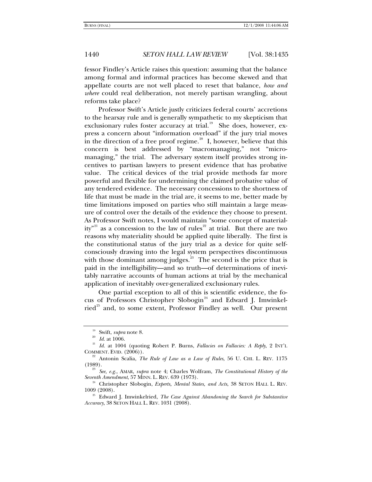## 1440 *SETON HALL LAW REVIEW* [Vol. 38:1435

fessor Findley's Article raises this question: assuming that the balance among formal and informal practices has become skewed and that appellate courts are not well placed to reset that balance, *how and where* could real deliberation, not merely partisan wrangling, about reforms take place?

Professor Swift's Article justly criticizes federal courts' accretions to the hearsay rule and is generally sympathetic to my skepticism that exclusionary rules foster accuracy at trial.<sup>[19](#page-5-0)</sup> She does, however, express a concern about "information overload" if the jury trial moves in the direction of a free proof regime.<sup>[20](#page-5-1)</sup> I, however, believe that this concern is best addressed by "macromanaging," not "micromanaging," the trial. The adversary system itself provides strong incentives to partisan lawyers to present evidence that has probative value. The critical devices of the trial provide methods far more powerful and flexible for undermining the claimed probative value of any tendered evidence. The necessary concessions to the shortness of life that must be made in the trial are, it seems to me, better made by time limitations imposed on parties who still maintain a large measure of control over the details of the evidence they choose to present. As Professor Swift notes, I would maintain "some concept of material-ity"<sup>[21](#page-5-2)</sup> as a concession to the law of rules<sup>[22](#page-5-3)</sup> at trial. But there are two reasons why materiality should be applied quite liberally. The first is the constitutional status of the jury trial as a device for quite selfconsciously drawing into the legal system perspectives discontinuous with those dominant among judges.<sup>[23](#page-5-4)</sup> The second is the price that is paid in the intelligibility—and so truth—of determinations of inevitably narrative accounts of human actions at trial by the mechanical application of inevitably over-generalized exclusionary rules.

One partial exception to all of this is scientific evidence, the fo-cus of Professors Christopher Slobogin<sup>[24](#page-5-5)</sup> and Edward J. Imwinkel-ried<sup>[25](#page-5-6)</sup> and, to some extent, Professor Findley as well. Our present

<span id="page-5-2"></span><span id="page-5-1"></span><span id="page-5-0"></span><sup>19</sup> Swift, *supra* note 8. 20 *Id.* at 1006. 21 *Id.* at 1004 (quoting Robert P. Burns, *Fallacies on Fallacies: A Reply*, 2 INT'L COMMENT. EVID. (2006)). <sup>22</sup> Antonin Scalia, *The Rule of Law as a Law of Rules*, 56 U. CHI. L. REV. 1175

<span id="page-5-4"></span><span id="page-5-3"></span><sup>(1989). 23</sup> *See, e.g.*, AMAR, *supra* note 4; Charles Wolfram, *The Constitutional History of the* 

<span id="page-5-5"></span><sup>&</sup>lt;sup>24</sup> Christopher Slobogin, *Experts, Mental States, and Acts*, 38 SETON HALL L. REV. 1009 (2008). 25 Edward J. Imwinkelried, *The Case Against Abandoning the Search for Substantive* 

<span id="page-5-6"></span>*Accuracy*, 38 SETON HALL L. REV. 1031 (2008).